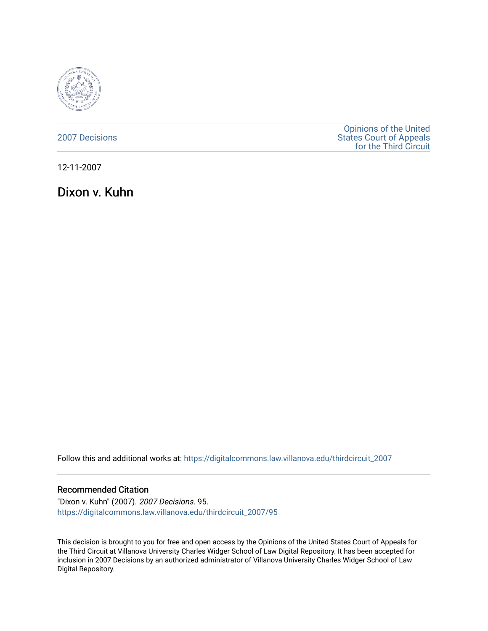

[2007 Decisions](https://digitalcommons.law.villanova.edu/thirdcircuit_2007)

[Opinions of the United](https://digitalcommons.law.villanova.edu/thirdcircuit)  [States Court of Appeals](https://digitalcommons.law.villanova.edu/thirdcircuit)  [for the Third Circuit](https://digitalcommons.law.villanova.edu/thirdcircuit) 

12-11-2007

Dixon v. Kuhn

Follow this and additional works at: [https://digitalcommons.law.villanova.edu/thirdcircuit\\_2007](https://digitalcommons.law.villanova.edu/thirdcircuit_2007?utm_source=digitalcommons.law.villanova.edu%2Fthirdcircuit_2007%2F95&utm_medium=PDF&utm_campaign=PDFCoverPages) 

## Recommended Citation

"Dixon v. Kuhn" (2007). 2007 Decisions. 95. [https://digitalcommons.law.villanova.edu/thirdcircuit\\_2007/95](https://digitalcommons.law.villanova.edu/thirdcircuit_2007/95?utm_source=digitalcommons.law.villanova.edu%2Fthirdcircuit_2007%2F95&utm_medium=PDF&utm_campaign=PDFCoverPages)

This decision is brought to you for free and open access by the Opinions of the United States Court of Appeals for the Third Circuit at Villanova University Charles Widger School of Law Digital Repository. It has been accepted for inclusion in 2007 Decisions by an authorized administrator of Villanova University Charles Widger School of Law Digital Repository.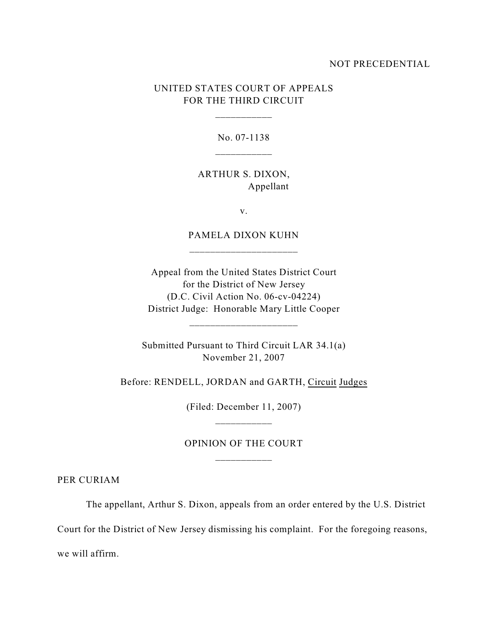## NOT PRECEDENTIAL

## UNITED STATES COURT OF APPEALS FOR THE THIRD CIRCUIT

\_\_\_\_\_\_\_\_\_\_\_

No. 07-1138

ARTHUR S. DIXON, Appellant

v.

PAMELA DIXON KUHN

Appeal from the United States District Court for the District of New Jersey (D.C. Civil Action No. 06-cv-04224) District Judge: Honorable Mary Little Cooper

\_\_\_\_\_\_\_\_\_\_\_\_\_\_\_\_\_\_\_\_\_

Submitted Pursuant to Third Circuit LAR 34.1(a) November 21, 2007

Before: RENDELL, JORDAN and GARTH, Circuit Judges

(Filed: December 11, 2007) \_\_\_\_\_\_\_\_\_\_\_

OPINION OF THE COURT

PER CURIAM

The appellant, Arthur S. Dixon, appeals from an order entered by the U.S. District

Court for the District of New Jersey dismissing his complaint. For the foregoing reasons,

we will affirm.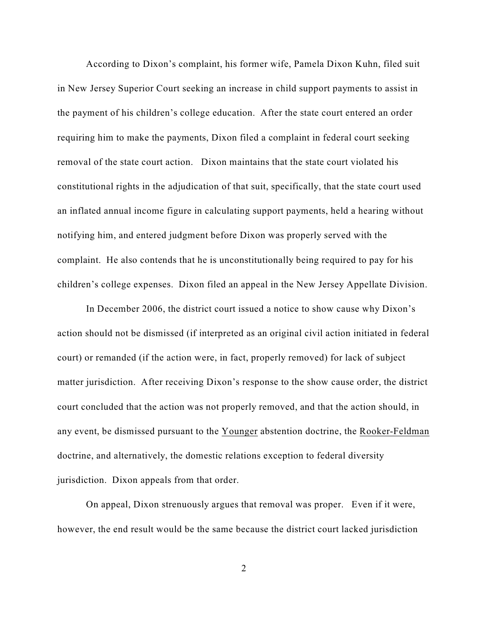According to Dixon's complaint, his former wife, Pamela Dixon Kuhn, filed suit in New Jersey Superior Court seeking an increase in child support payments to assist in the payment of his children's college education. After the state court entered an order requiring him to make the payments, Dixon filed a complaint in federal court seeking removal of the state court action. Dixon maintains that the state court violated his constitutional rights in the adjudication of that suit, specifically, that the state court used an inflated annual income figure in calculating support payments, held a hearing without notifying him, and entered judgment before Dixon was properly served with the complaint. He also contends that he is unconstitutionally being required to pay for his children's college expenses. Dixon filed an appeal in the New Jersey Appellate Division.

In December 2006, the district court issued a notice to show cause why Dixon's action should not be dismissed (if interpreted as an original civil action initiated in federal court) or remanded (if the action were, in fact, properly removed) for lack of subject matter jurisdiction. After receiving Dixon's response to the show cause order, the district court concluded that the action was not properly removed, and that the action should, in any event, be dismissed pursuant to the Younger abstention doctrine, the Rooker-Feldman doctrine, and alternatively, the domestic relations exception to federal diversity jurisdiction. Dixon appeals from that order.

On appeal, Dixon strenuously argues that removal was proper. Even if it were, however, the end result would be the same because the district court lacked jurisdiction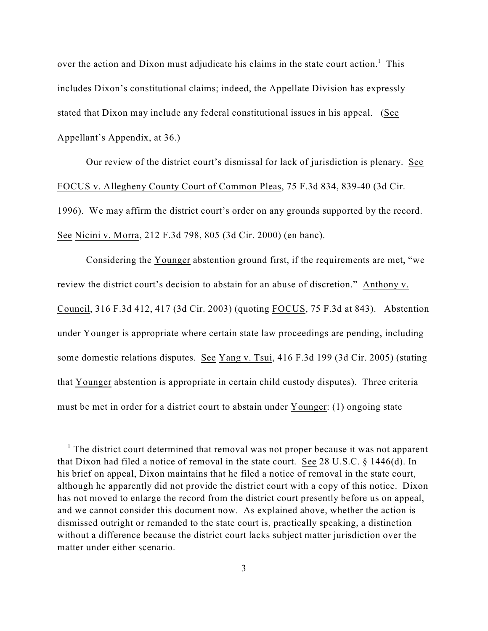over the action and Dixon must adjudicate his claims in the state court action.<sup>1</sup> This includes Dixon's constitutional claims; indeed, the Appellate Division has expressly stated that Dixon may include any federal constitutional issues in his appeal. (See Appellant's Appendix, at 36.)

Our review of the district court's dismissal for lack of jurisdiction is plenary. See FOCUS v. Allegheny County Court of Common Pleas, 75 F.3d 834, 839-40 (3d Cir. 1996). We may affirm the district court's order on any grounds supported by the record. See Nicini v. Morra, 212 F.3d 798, 805 (3d Cir. 2000) (en banc).

Considering the Younger abstention ground first, if the requirements are met, "we review the district court's decision to abstain for an abuse of discretion." Anthony v. Council, 316 F.3d 412, 417 (3d Cir. 2003) (quoting FOCUS, 75 F.3d at 843). Abstention under Younger is appropriate where certain state law proceedings are pending, including some domestic relations disputes. See Yang v. Tsui, 416 F.3d 199 (3d Cir. 2005) (stating that Younger abstention is appropriate in certain child custody disputes). Three criteria must be met in order for a district court to abstain under Younger: (1) ongoing state

 $1$  The district court determined that removal was not proper because it was not apparent that Dixon had filed a notice of removal in the state court. See 28 U.S.C. § 1446(d). In his brief on appeal, Dixon maintains that he filed a notice of removal in the state court, although he apparently did not provide the district court with a copy of this notice. Dixon has not moved to enlarge the record from the district court presently before us on appeal, and we cannot consider this document now. As explained above, whether the action is dismissed outright or remanded to the state court is, practically speaking, a distinction without a difference because the district court lacks subject matter jurisdiction over the matter under either scenario.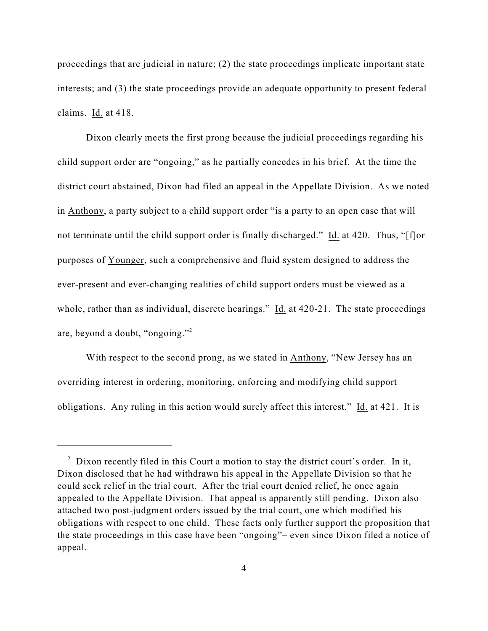proceedings that are judicial in nature; (2) the state proceedings implicate important state interests; and (3) the state proceedings provide an adequate opportunity to present federal claims. Id. at 418.

Dixon clearly meets the first prong because the judicial proceedings regarding his child support order are "ongoing," as he partially concedes in his brief. At the time the district court abstained, Dixon had filed an appeal in the Appellate Division. As we noted in Anthony, a party subject to a child support order "is a party to an open case that will not terminate until the child support order is finally discharged." Id. at 420. Thus, "[f]or purposes of Younger, such a comprehensive and fluid system designed to address the ever-present and ever-changing realities of child support orders must be viewed as a whole, rather than as individual, discrete hearings." Id. at 420-21. The state proceedings are, beyond a doubt, "ongoing."<sup>2</sup>

With respect to the second prong, as we stated in Anthony, "New Jersey has an overriding interest in ordering, monitoring, enforcing and modifying child support obligations. Any ruling in this action would surely affect this interest." Id. at 421. It is

 $\alpha$  Dixon recently filed in this Court a motion to stay the district court's order. In it, Dixon disclosed that he had withdrawn his appeal in the Appellate Division so that he could seek relief in the trial court. After the trial court denied relief, he once again appealed to the Appellate Division. That appeal is apparently still pending. Dixon also attached two post-judgment orders issued by the trial court, one which modified his obligations with respect to one child. These facts only further support the proposition that the state proceedings in this case have been "ongoing"– even since Dixon filed a notice of appeal.